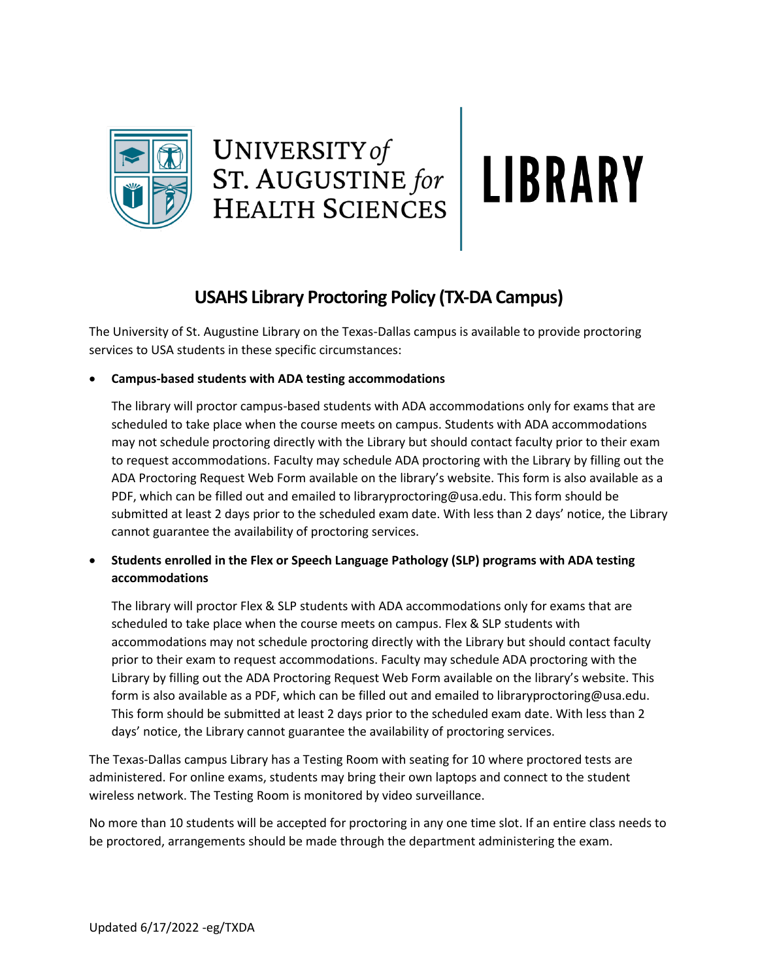

## UNIVERSITY of<br>ST. AUGUSTINE for **LIBRARY**<br>HEALTH SCIENCES

## **USAHS Library Proctoring Policy (TX-DA Campus)**

The University of St. Augustine Library on the Texas-Dallas campus is available to provide proctoring services to USA students in these specific circumstances:

## • **Campus-based students with ADA testing accommodations**

The library will proctor campus-based students with ADA accommodations only for exams that are scheduled to take place when the course meets on campus. Students with ADA accommodations may not schedule proctoring directly with the Library but should contact faculty prior to their exam to request accommodations. Faculty may schedule ADA proctoring with the Library by filling out the ADA Proctoring Request Web Form available on the library's website. This form is also available as a PDF, which can be filled out and emailed to libraryproctoring@usa.edu. This form should be submitted at least 2 days prior to the scheduled exam date. With less than 2 days' notice, the Library cannot guarantee the availability of proctoring services.

• **Students enrolled in the Flex or Speech Language Pathology (SLP) programs with ADA testing accommodations**

The library will proctor Flex & SLP students with ADA accommodations only for exams that are scheduled to take place when the course meets on campus. Flex & SLP students with accommodations may not schedule proctoring directly with the Library but should contact faculty prior to their exam to request accommodations. Faculty may schedule ADA proctoring with the Library by filling out the ADA Proctoring Request Web Form available on the library's website. This form is also available as a PDF, which can be filled out and emailed to libraryproctoring@usa.edu. This form should be submitted at least 2 days prior to the scheduled exam date. With less than 2 days' notice, the Library cannot guarantee the availability of proctoring services.

The Texas-Dallas campus Library has a Testing Room with seating for 10 where proctored tests are administered. For online exams, students may bring their own laptops and connect to the student wireless network. The Testing Room is monitored by video surveillance.

No more than 10 students will be accepted for proctoring in any one time slot. If an entire class needs to be proctored, arrangements should be made through the department administering the exam.